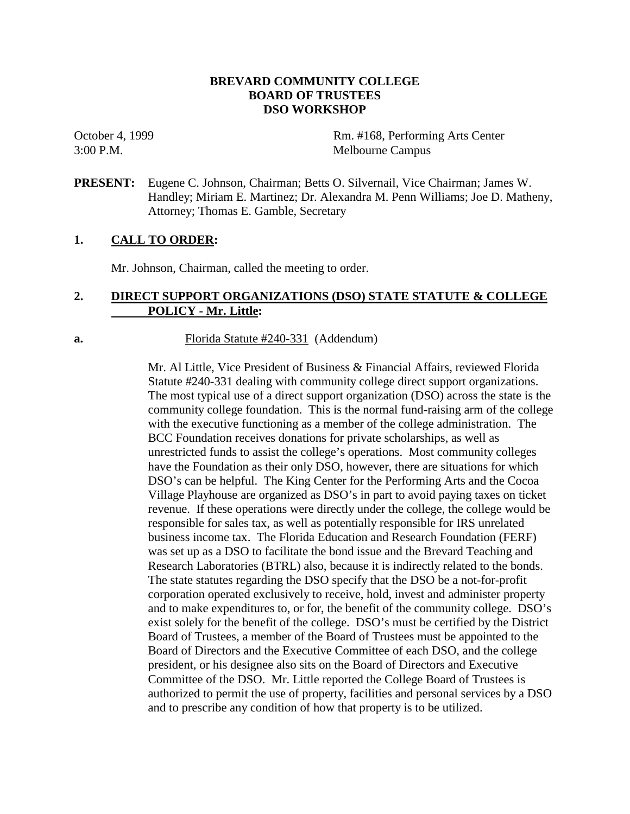# **BREVARD COMMUNITY COLLEGE BOARD OF TRUSTEES DSO WORKSHOP**

October 4, 1999 Rm. #168, Performing Arts Center 3:00 P.M. Melbourne Campus

**PRESENT:** Eugene C. Johnson, Chairman; Betts O. Silvernail, Vice Chairman; James W. Handley; Miriam E. Martinez; Dr. Alexandra M. Penn Williams; Joe D. Matheny, Attorney; Thomas E. Gamble, Secretary

# **1. CALL TO ORDER:**

Mr. Johnson, Chairman, called the meeting to order.

# **2. DIRECT SUPPORT ORGANIZATIONS (DSO) STATE STATUTE & COLLEGE POLICY - Mr. Little:**

**a.** Florida Statute #240-331 (Addendum)

Mr. Al Little, Vice President of Business & Financial Affairs, reviewed Florida Statute #240-331 dealing with community college direct support organizations. The most typical use of a direct support organization (DSO) across the state is the community college foundation. This is the normal fund-raising arm of the college with the executive functioning as a member of the college administration. The BCC Foundation receives donations for private scholarships, as well as unrestricted funds to assist the college's operations. Most community colleges have the Foundation as their only DSO, however, there are situations for which DSO's can be helpful. The King Center for the Performing Arts and the Cocoa Village Playhouse are organized as DSO's in part to avoid paying taxes on ticket revenue. If these operations were directly under the college, the college would be responsible for sales tax, as well as potentially responsible for IRS unrelated business income tax. The Florida Education and Research Foundation (FERF) was set up as a DSO to facilitate the bond issue and the Brevard Teaching and Research Laboratories (BTRL) also, because it is indirectly related to the bonds. The state statutes regarding the DSO specify that the DSO be a not-for-profit corporation operated exclusively to receive, hold, invest and administer property and to make expenditures to, or for, the benefit of the community college. DSO's exist solely for the benefit of the college. DSO's must be certified by the District Board of Trustees, a member of the Board of Trustees must be appointed to the Board of Directors and the Executive Committee of each DSO, and the college president, or his designee also sits on the Board of Directors and Executive Committee of the DSO. Mr. Little reported the College Board of Trustees is authorized to permit the use of property, facilities and personal services by a DSO and to prescribe any condition of how that property is to be utilized.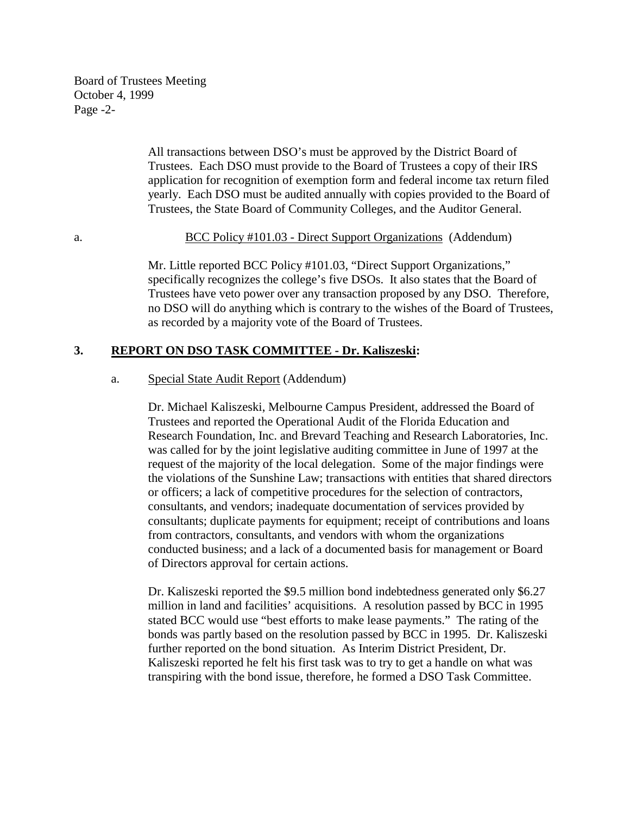Board of Trustees Meeting October 4, 1999 Page -2-

> All transactions between DSO's must be approved by the District Board of Trustees. Each DSO must provide to the Board of Trustees a copy of their IRS application for recognition of exemption form and federal income tax return filed yearly. Each DSO must be audited annually with copies provided to the Board of Trustees, the State Board of Community Colleges, and the Auditor General.

#### a. BCC Policy #101.03 - Direct Support Organizations (Addendum)

 Mr. Little reported BCC Policy #101.03, "Direct Support Organizations," specifically recognizes the college's five DSOs. It also states that the Board of Trustees have veto power over any transaction proposed by any DSO. Therefore, no DSO will do anything which is contrary to the wishes of the Board of Trustees, as recorded by a majority vote of the Board of Trustees.

#### **3. REPORT ON DSO TASK COMMITTEE - Dr. Kaliszeski:**

#### a. Special State Audit Report (Addendum)

Dr. Michael Kaliszeski, Melbourne Campus President, addressed the Board of Trustees and reported the Operational Audit of the Florida Education and Research Foundation, Inc. and Brevard Teaching and Research Laboratories, Inc. was called for by the joint legislative auditing committee in June of 1997 at the request of the majority of the local delegation. Some of the major findings were the violations of the Sunshine Law; transactions with entities that shared directors or officers; a lack of competitive procedures for the selection of contractors, consultants, and vendors; inadequate documentation of services provided by consultants; duplicate payments for equipment; receipt of contributions and loans from contractors, consultants, and vendors with whom the organizations conducted business; and a lack of a documented basis for management or Board of Directors approval for certain actions.

Dr. Kaliszeski reported the \$9.5 million bond indebtedness generated only \$6.27 million in land and facilities' acquisitions. A resolution passed by BCC in 1995 stated BCC would use "best efforts to make lease payments." The rating of the bonds was partly based on the resolution passed by BCC in 1995. Dr. Kaliszeski further reported on the bond situation. As Interim District President, Dr. Kaliszeski reported he felt his first task was to try to get a handle on what was transpiring with the bond issue, therefore, he formed a DSO Task Committee.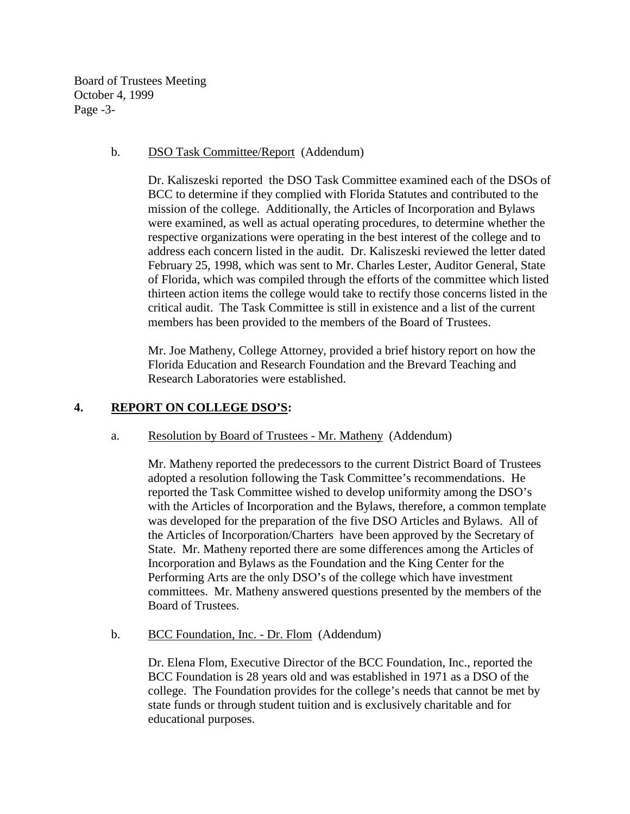Board of Trustees Meeting October 4, 1999 Page -3-

# b. DSO Task Committee/Report (Addendum)

Dr. Kaliszeski reported the DSO Task Committee examined each of the DSOs of BCC to determine if they complied with Florida Statutes and contributed to the mission of the college. Additionally, the Articles of Incorporation and Bylaws were examined, as well as actual operating procedures, to determine whether the respective organizations were operating in the best interest of the college and to address each concern listed in the audit. Dr. Kaliszeski reviewed the letter dated February 25, 1998, which was sent to Mr. Charles Lester, Auditor General, State of Florida, which was compiled through the efforts of the committee which listed thirteen action items the college would take to rectify those concerns listed in the critical audit. The Task Committee is still in existence and a list of the current members has been provided to the members of the Board of Trustees.

Mr. Joe Matheny, College Attorney, provided a brief history report on how the Florida Education and Research Foundation and the Brevard Teaching and Research Laboratories were established.

# **4. REPORT ON COLLEGE DSO'S:**

# a. Resolution by Board of Trustees - Mr. Matheny (Addendum)

Mr. Matheny reported the predecessors to the current District Board of Trustees adopted a resolution following the Task Committee's recommendations. He reported the Task Committee wished to develop uniformity among the DSO's with the Articles of Incorporation and the Bylaws, therefore, a common template was developed for the preparation of the five DSO Articles and Bylaws. All of the Articles of Incorporation/Charters have been approved by the Secretary of State. Mr. Matheny reported there are some differences among the Articles of Incorporation and Bylaws as the Foundation and the King Center for the Performing Arts are the only DSO's of the college which have investment committees. Mr. Matheny answered questions presented by the members of the Board of Trustees.

b. BCC Foundation, Inc. - Dr. Flom (Addendum)

Dr. Elena Flom, Executive Director of the BCC Foundation, Inc., reported the BCC Foundation is 28 years old and was established in 1971 as a DSO of the college. The Foundation provides for the college's needs that cannot be met by state funds or through student tuition and is exclusively charitable and for educational purposes.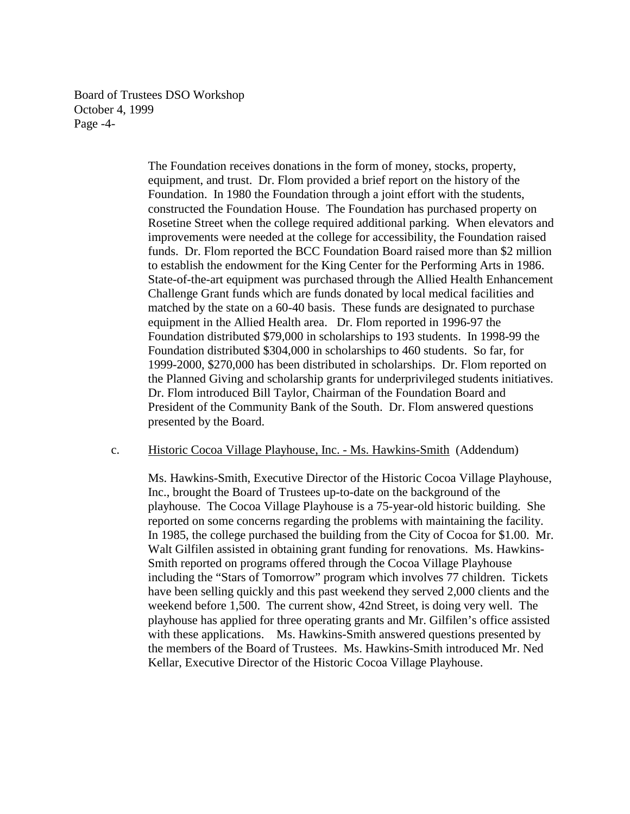Board of Trustees DSO Workshop October 4, 1999 Page -4-

> The Foundation receives donations in the form of money, stocks, property, equipment, and trust. Dr. Flom provided a brief report on the history of the Foundation. In 1980 the Foundation through a joint effort with the students, constructed the Foundation House. The Foundation has purchased property on Rosetine Street when the college required additional parking. When elevators and improvements were needed at the college for accessibility, the Foundation raised funds. Dr. Flom reported the BCC Foundation Board raised more than \$2 million to establish the endowment for the King Center for the Performing Arts in 1986. State-of-the-art equipment was purchased through the Allied Health Enhancement Challenge Grant funds which are funds donated by local medical facilities and matched by the state on a 60-40 basis. These funds are designated to purchase equipment in the Allied Health area. Dr. Flom reported in 1996-97 the Foundation distributed \$79,000 in scholarships to 193 students. In 1998-99 the Foundation distributed \$304,000 in scholarships to 460 students. So far, for 1999-2000, \$270,000 has been distributed in scholarships. Dr. Flom reported on the Planned Giving and scholarship grants for underprivileged students initiatives. Dr. Flom introduced Bill Taylor, Chairman of the Foundation Board and President of the Community Bank of the South. Dr. Flom answered questions presented by the Board.

#### c. Historic Cocoa Village Playhouse, Inc. - Ms. Hawkins-Smith (Addendum)

Ms. Hawkins-Smith, Executive Director of the Historic Cocoa Village Playhouse, Inc., brought the Board of Trustees up-to-date on the background of the playhouse. The Cocoa Village Playhouse is a 75-year-old historic building. She reported on some concerns regarding the problems with maintaining the facility. In 1985, the college purchased the building from the City of Cocoa for \$1.00. Mr. Walt Gilfilen assisted in obtaining grant funding for renovations. Ms. Hawkins-Smith reported on programs offered through the Cocoa Village Playhouse including the "Stars of Tomorrow" program which involves 77 children. Tickets have been selling quickly and this past weekend they served 2,000 clients and the weekend before 1,500. The current show, 42nd Street, is doing very well. The playhouse has applied for three operating grants and Mr. Gilfilen's office assisted with these applications. Ms. Hawkins-Smith answered questions presented by the members of the Board of Trustees. Ms. Hawkins-Smith introduced Mr. Ned Kellar, Executive Director of the Historic Cocoa Village Playhouse.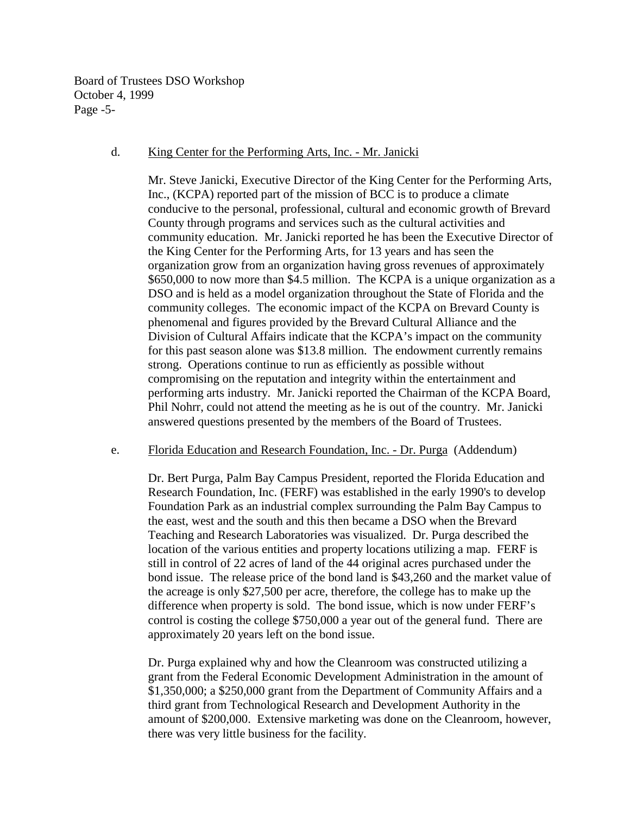Board of Trustees DSO Workshop October 4, 1999 Page -5-

### d. King Center for the Performing Arts, Inc. - Mr. Janicki

Mr. Steve Janicki, Executive Director of the King Center for the Performing Arts, Inc., (KCPA) reported part of the mission of BCC is to produce a climate conducive to the personal, professional, cultural and economic growth of Brevard County through programs and services such as the cultural activities and community education. Mr. Janicki reported he has been the Executive Director of the King Center for the Performing Arts, for 13 years and has seen the organization grow from an organization having gross revenues of approximately \$650,000 to now more than \$4.5 million. The KCPA is a unique organization as a DSO and is held as a model organization throughout the State of Florida and the community colleges. The economic impact of the KCPA on Brevard County is phenomenal and figures provided by the Brevard Cultural Alliance and the Division of Cultural Affairs indicate that the KCPA's impact on the community for this past season alone was \$13.8 million. The endowment currently remains strong. Operations continue to run as efficiently as possible without compromising on the reputation and integrity within the entertainment and performing arts industry. Mr. Janicki reported the Chairman of the KCPA Board, Phil Nohrr, could not attend the meeting as he is out of the country. Mr. Janicki answered questions presented by the members of the Board of Trustees.

#### e. Florida Education and Research Foundation, Inc. - Dr. Purga (Addendum)

Dr. Bert Purga, Palm Bay Campus President, reported the Florida Education and Research Foundation, Inc. (FERF) was established in the early 1990's to develop Foundation Park as an industrial complex surrounding the Palm Bay Campus to the east, west and the south and this then became a DSO when the Brevard Teaching and Research Laboratories was visualized. Dr. Purga described the location of the various entities and property locations utilizing a map. FERF is still in control of 22 acres of land of the 44 original acres purchased under the bond issue. The release price of the bond land is \$43,260 and the market value of the acreage is only \$27,500 per acre, therefore, the college has to make up the difference when property is sold. The bond issue, which is now under FERF's control is costing the college \$750,000 a year out of the general fund. There are approximately 20 years left on the bond issue.

Dr. Purga explained why and how the Cleanroom was constructed utilizing a grant from the Federal Economic Development Administration in the amount of \$1,350,000; a \$250,000 grant from the Department of Community Affairs and a third grant from Technological Research and Development Authority in the amount of \$200,000. Extensive marketing was done on the Cleanroom, however, there was very little business for the facility.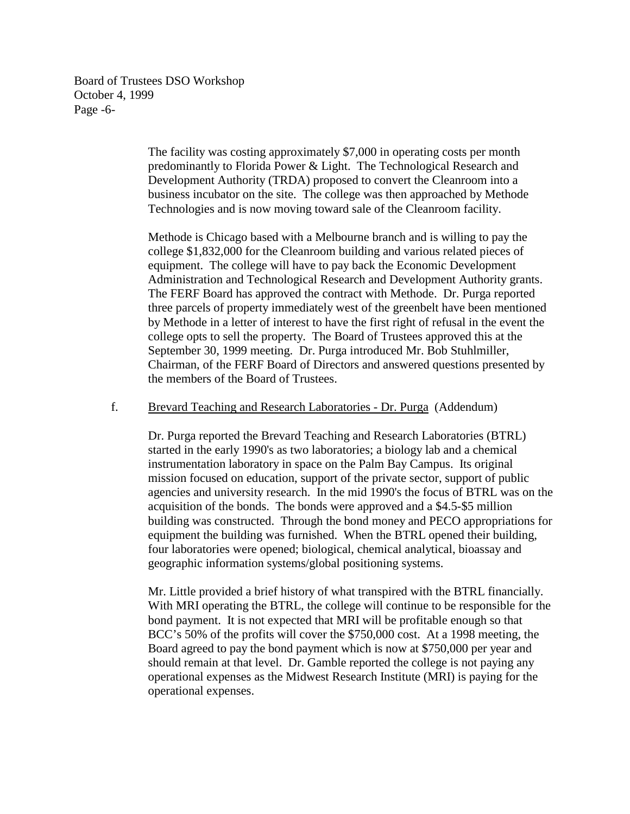Board of Trustees DSO Workshop October 4, 1999 Page -6-

> The facility was costing approximately \$7,000 in operating costs per month predominantly to Florida Power & Light. The Technological Research and Development Authority (TRDA) proposed to convert the Cleanroom into a business incubator on the site. The college was then approached by Methode Technologies and is now moving toward sale of the Cleanroom facility.

Methode is Chicago based with a Melbourne branch and is willing to pay the college \$1,832,000 for the Cleanroom building and various related pieces of equipment. The college will have to pay back the Economic Development Administration and Technological Research and Development Authority grants. The FERF Board has approved the contract with Methode. Dr. Purga reported three parcels of property immediately west of the greenbelt have been mentioned by Methode in a letter of interest to have the first right of refusal in the event the college opts to sell the property. The Board of Trustees approved this at the September 30, 1999 meeting. Dr. Purga introduced Mr. Bob Stuhlmiller, Chairman, of the FERF Board of Directors and answered questions presented by the members of the Board of Trustees.

#### f. Brevard Teaching and Research Laboratories - Dr. Purga (Addendum)

Dr. Purga reported the Brevard Teaching and Research Laboratories (BTRL) started in the early 1990's as two laboratories; a biology lab and a chemical instrumentation laboratory in space on the Palm Bay Campus. Its original mission focused on education, support of the private sector, support of public agencies and university research. In the mid 1990's the focus of BTRL was on the acquisition of the bonds. The bonds were approved and a \$4.5-\$5 million building was constructed. Through the bond money and PECO appropriations for equipment the building was furnished. When the BTRL opened their building, four laboratories were opened; biological, chemical analytical, bioassay and geographic information systems/global positioning systems.

Mr. Little provided a brief history of what transpired with the BTRL financially. With MRI operating the BTRL, the college will continue to be responsible for the bond payment. It is not expected that MRI will be profitable enough so that BCC's 50% of the profits will cover the \$750,000 cost. At a 1998 meeting, the Board agreed to pay the bond payment which is now at \$750,000 per year and should remain at that level. Dr. Gamble reported the college is not paying any operational expenses as the Midwest Research Institute (MRI) is paying for the operational expenses.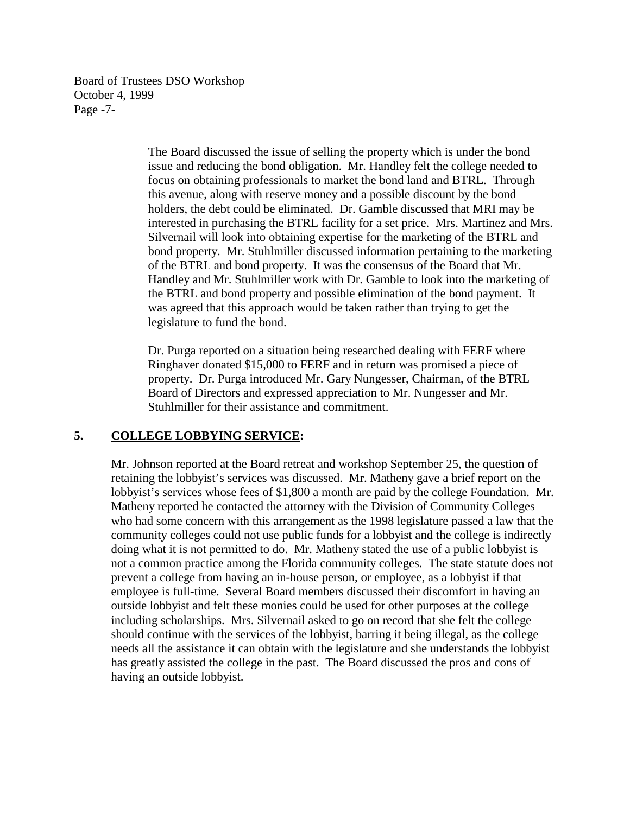Board of Trustees DSO Workshop October 4, 1999 Page -7-

> The Board discussed the issue of selling the property which is under the bond issue and reducing the bond obligation. Mr. Handley felt the college needed to focus on obtaining professionals to market the bond land and BTRL. Through this avenue, along with reserve money and a possible discount by the bond holders, the debt could be eliminated. Dr. Gamble discussed that MRI may be interested in purchasing the BTRL facility for a set price. Mrs. Martinez and Mrs. Silvernail will look into obtaining expertise for the marketing of the BTRL and bond property. Mr. Stuhlmiller discussed information pertaining to the marketing of the BTRL and bond property. It was the consensus of the Board that Mr. Handley and Mr. Stuhlmiller work with Dr. Gamble to look into the marketing of the BTRL and bond property and possible elimination of the bond payment. It was agreed that this approach would be taken rather than trying to get the legislature to fund the bond.

Dr. Purga reported on a situation being researched dealing with FERF where Ringhaver donated \$15,000 to FERF and in return was promised a piece of property. Dr. Purga introduced Mr. Gary Nungesser, Chairman, of the BTRL Board of Directors and expressed appreciation to Mr. Nungesser and Mr. Stuhlmiller for their assistance and commitment.

# **5. COLLEGE LOBBYING SERVICE:**

Mr. Johnson reported at the Board retreat and workshop September 25, the question of retaining the lobbyist's services was discussed. Mr. Matheny gave a brief report on the lobbyist's services whose fees of \$1,800 a month are paid by the college Foundation. Mr. Matheny reported he contacted the attorney with the Division of Community Colleges who had some concern with this arrangement as the 1998 legislature passed a law that the community colleges could not use public funds for a lobbyist and the college is indirectly doing what it is not permitted to do. Mr. Matheny stated the use of a public lobbyist is not a common practice among the Florida community colleges. The state statute does not prevent a college from having an in-house person, or employee, as a lobbyist if that employee is full-time. Several Board members discussed their discomfort in having an outside lobbyist and felt these monies could be used for other purposes at the college including scholarships. Mrs. Silvernail asked to go on record that she felt the college should continue with the services of the lobbyist, barring it being illegal, as the college needs all the assistance it can obtain with the legislature and she understands the lobbyist has greatly assisted the college in the past. The Board discussed the pros and cons of having an outside lobbyist.